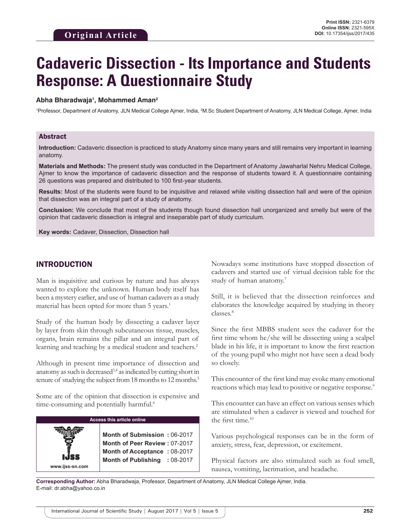# **Cadaveric Dissection - Its Importance and Students Response: A Questionnaire Study**

#### **Abha Bharadwaja1 , Mohammed Aman2**

<sup>1</sup>Professor, Department of Anatomy, JLN Medical College Ajmer, India, <sup>2</sup>M.Sc Student Department of Anatomy, JLN Medical College, Ajmer, India

#### Abstract

**Introduction:** Cadaveric dissection is practiced to study Anatomy since many years and still remains very important in learning anatomy.

**Materials and Methods:** The present study was conducted in the Department of Anatomy Jawaharlal Nehru Medical College, Ajmer to know the importance of cadaveric dissection and the response of students toward it. A questionnaire containing 26 questions was prepared and distributed to 100 first-year students.

**Results:** Most of the students were found to be inquisitive and relaxed while visiting dissection hall and were of the opinion that dissection was an integral part of a study of anatomy.

**Conclusion:** We conclude that most of the students though found dissection hall unorganized and smelly but were of the opinion that cadaveric dissection is integral and inseparable part of study curriculum.

**Key words:** Cadaver, Dissection, Dissection hall

### INTRODUCTION

Man is inquisitive and curious by nature and has always wanted to explore the unknown. Human body itself has been a mystery earlier, and use of human cadavers as a study material has been opted for more than 5 years.<sup>1</sup>

Study of the human body by dissecting a cadaver layer by layer from skin through subcutaneous tissue, muscles, organs, brain remains the pillar and an integral part of learning and teaching by a medical student and teachers.<sup>2</sup>

Although in present time importance of dissection and anatomy as such is decreased<sup>3,4</sup> as indicated by cutting short in tenure of studying the subject from 18 months to 12 months.<sup>5</sup>

Some are of the opinion that dissection is expensive and time-consuming and potentially harmful.<sup>6</sup>

| <b>Access this article online</b> |                                                                                                                                              |  |  |  |  |  |
|-----------------------------------|----------------------------------------------------------------------------------------------------------------------------------------------|--|--|--|--|--|
| www.ijss-sn.com                   | Month of Submission: 06-2017<br>Month of Peer Review: 07-2017<br>Month of Acceptance: 08-2017<br><b>Month of Publishing</b><br>$: 08 - 2017$ |  |  |  |  |  |

Nowadays some institutions have stopped dissection of cadavers and started use of virtual decision table for the study of human anatomy.7

Still, it is believed that the dissection reinforces and elaborates the knowledge acquired by studying in theory classes.8

Since the first MBBS student sees the cadaver for the first time whom he/she will be dissecting using a scalpel blade in his life, it is important to know the first reaction of the young pupil who might not have seen a dead body so closely.

This encounter of the first kind may evoke many emotional reactions which may lead to positive or negative response.<sup>9</sup>

This encounter can have an effect on various senses which are stimulated when a cadaver is viewed and touched for the first time.<sup>10</sup>

Various psychological responses can be in the form of anxiety, stress, fear, depression, or excitement.

Physical factors are also stimulated such as foul smell, nausea, vomiting, lacrimation, and headache.

**Corresponding Author:** Abha Bharadwaja, Professor, Department of Anatomy, JLN Medical College Ajmer, India. E-mail: dr.abha@yahoo.co.in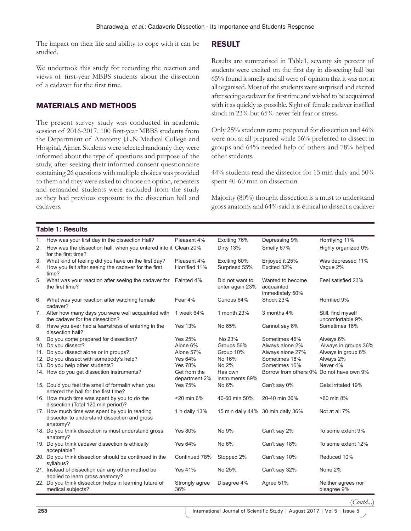The impact on their life and ability to cope with it can be studied.

We undertook this study for recording the reaction and views of first-year MBBS students about the dissection of a cadaver for the first time.

# MATERIALS AND METHODS

The present survey study was conducted in academic session of 2016-2017. 100 first-year MBBS students from the Department of Anatomy J.L.N Medical College and Hospital, Ajmer. Students were selected randomly they were informed about the type of questions and purpose of the study, after seeking their informed consent questionnaire containing 26 questions with multiple choices was provided to them and they were asked to choose an option, repeaters and remanded students were excluded from the study as they had previous exposure to the dissection hall and cadavers.

# RESULT

Results are summarised in Table1, seventy six percent of students were excited on the first day in dissecting hall but 65% found it smelly and all were of opinion that it was not at all organised. Most of the students were surprised and excited after seeing a cadaver for first time and wished to be acquainted with it as quickly as possible. Sight of female cadaver instilled shock in 23% but 65% never felt fear or stress.

Only 25% students came prepared for dissection and 46% were not at all prepared while 56% preferred to dissect in groups and 64% needed help of others and 78% helped other students.

44% students read the dissector for 15 min daily and 50% spent 40-60 min on dissection.

Majority (80%) thought dissection is a must to understand gross anatomy and 64% said it is ethical to dissect a cadaver

#### **Table 1: Results**

| 1. | How was your first day in the dissection Hall?                                                            | Pleasant 4%                   | Exciting 76%                       | Depressing 9%                                     | Horrifying 11%                         |
|----|-----------------------------------------------------------------------------------------------------------|-------------------------------|------------------------------------|---------------------------------------------------|----------------------------------------|
| 2. | How was the dissection hall, when you entered into it Clean 20%<br>for the first time?                    |                               | Dirty 13%                          | Smelly 67%                                        | Highly organized 0%                    |
| 3. | What kind of feeling did you have on the first day?                                                       | Pleasant 4%                   | Exciting 60%                       | Enjoyed it 25%                                    | Was depressed 11%                      |
| 4. | How you felt after seeing the cadaver for the first<br>time?                                              | Horrified 11%                 | Surprised 55%                      | Excited 32%                                       | Vaque 2%                               |
| 5. | What was your reaction after seeing the cadaver for<br>the first time?                                    | Fainted 4%                    | Did not want to<br>enter again 23% | Wanted to become<br>acquainted<br>immediately 50% | Feel satisfied 23%                     |
| 6. | What was your reaction after watching female<br>cadaver?                                                  | Fear 4%                       | Curious 64%                        | Shock 23%                                         | Horrified 9%                           |
|    | 7. After how many days you were well acquainted with<br>the cadaver for the dissection?                   | 1 week 64%                    | 1 month 23%                        | 3 months 4%                                       | Still, find myself<br>uncomfortable 9% |
| 8. | Have you ever had a fear/stress of entering in the<br>dissection hall?                                    | <b>Yes 13%</b>                | No 65%                             | Cannot say 6%                                     | Sometimes 16%                          |
| 9. | Do you come prepared for dissection?                                                                      | <b>Yes 25%</b>                | No 23%                             | Sometimes 46%                                     | Always 6%                              |
|    | 10. Do you dissect?                                                                                       | Alone 6%                      | Groups 56%                         | Always alone 2%                                   | Always in groups 36%                   |
|    | 11. Do you dissect alone or in groups?                                                                    | Alone 57%                     | Group 10%                          | Always alone 27%                                  | Always in group 6%                     |
|    | 12. Do you dissect with somebody's help?                                                                  | Yes 64%                       | No 16%                             | Sometimes 18%                                     | Always 2%                              |
|    | 13. Do you help other students?                                                                           | <b>Yes 78%</b>                | No 2%                              | Sometimes 16%                                     | Never 4%                               |
|    | 14. How do you get dissection instruments?                                                                | Get from the<br>department 2% | Has own<br>instruments 89%         | Borrow from others 0% Do not have own 9%          |                                        |
|    | 15. Could you feel the smell of formalin when you<br>entered the hall for the first time?                 | Yes 75%                       | No 6%                              | Can't say 0%                                      | Gets irritated 19%                     |
|    | 16. How much time was spent by you to do the<br>dissection (Total 120 min period)?                        | <20 min 6%                    | 40-60 min 50%                      | 20-40 min 36%                                     | >60 min 8%                             |
|    | 17. How much time was spent by you in reading<br>dissector to understand dissection and gross<br>anatomy? | 1 h daily 13%                 |                                    | 15 min daily 44% 30 min daily 36%                 | Not at all 7%                          |
|    | 18. Do you think dissection is must understand gross<br>anatomy?                                          | <b>Yes 80%</b>                | No 9%                              | Can't say 2%                                      | To some extent 9%                      |
|    | 19. Do you think cadaver dissection is ethically<br>acceptable?                                           | Yes 64%                       | No 6%                              | Can't say 18%                                     | To some extent 12%                     |
|    | 20. Do you think dissection should be continued in the<br>syllabus?                                       | Continued 78%                 | Stopped 2%                         | Can't say 10%                                     | Reduced 10%                            |
|    | 21. Instead of dissection can any other method be<br>applied to learn gross anatomy?                      | <b>Yes 41%</b>                | No 25%                             | Can't say 32%                                     | None 2%                                |
|    | 22. Do you think dissection helps in learning future of<br>medical subjects?                              | Strongly agree<br>36%         | Disagree 4%                        | Agree 51%                                         | Neither agrees nor<br>disagree 9%      |

(*Contd...*)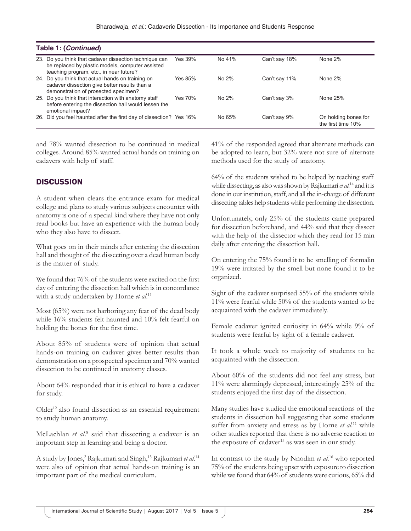| Table 1: (Continued) |                                                                                                                                                       |         |          |               |                                            |  |  |
|----------------------|-------------------------------------------------------------------------------------------------------------------------------------------------------|---------|----------|---------------|--------------------------------------------|--|--|
|                      | 23. Do you think that cadaver dissection technique can<br>be replaced by plastic models, computer assisted<br>teaching program, etc., in near future? | Yes 39% | No 41%   | Can't say 18% | None 2%                                    |  |  |
|                      | 24. Do you think that actual hands on training on<br>cadaver dissection give better results than a<br>demonstration of prosected specimen?            | Yes 85% | No $2\%$ | Can't say 11% | None 2%                                    |  |  |
|                      | 25. Do you think that interaction with anatomy staff<br>before entering the dissection hall would lessen the<br>emotional impact?                     | Yes 70% | No 2%    | Can't say 3%  | None 25%                                   |  |  |
|                      | 26. Did you feel haunted after the first day of dissection? Yes 16%                                                                                   |         | No 65%   | Can't say 9%  | On holding bones for<br>the first time 10% |  |  |

and 78% wanted dissection to be continued in medical colleges. Around 85% wanted actual hands on training on cadavers with help of staff.

# **DISCUSSION**

A student when clears the entrance exam for medical college and plans to study various subjects encounter with anatomy is one of a special kind where they have not only read books but have an experience with the human body who they also have to dissect.

What goes on in their minds after entering the dissection hall and thought of the dissecting over a dead human body is the matter of study.

We found that 76% of the students were excited on the first day of entering the dissection hall which is in concordance with a study undertaken by Horne et al.<sup>11</sup>

Most (65%) were not harboring any fear of the dead body while 16% students felt haunted and 10% felt fearful on holding the bones for the first time.

About 85% of students were of opinion that actual hands-on training on cadaver gives better results than demonstration on a prospected specimen and 70% wanted dissection to be continued in anatomy classes.

About 64% responded that it is ethical to have a cadaver for study.

Older<sup>12</sup> also found dissection as an essential requirement to study human anatomy.

McLachlan et al.<sup>8</sup> said that dissecting a cadaver is an important step in learning and being a doctor.

A study by Jones,<sup>2</sup> Rajkumari and Singh,<sup>13</sup> Rajkumari et al.<sup>14</sup> were also of opinion that actual hands-on training is an important part of the medical curriculum.

41% of the responded agreed that alternate methods can be adopted to learn, but 32% were not sure of alternate methods used for the study of anatomy.

64% of the students wished to be helped by teaching staff while dissecting, as also was shown by Rajkumari *et al*. 14 and it is done in our institution, staff, and all the in-charge of different dissecting tables help students while performing the dissection.

Unfortunately, only 25% of the students came prepared for dissection beforehand, and 44% said that they dissect with the help of the dissector which they read for 15 min daily after entering the dissection hall.

On entering the 75% found it to be smelling of formalin 19% were irritated by the smell but none found it to be organized.

Sight of the cadaver surprised 55% of the students while 11% were fearful while 50% of the students wanted to be acquainted with the cadaver immediately.

Female cadaver ignited curiosity in 64% while 9% of students were fearful by sight of a female cadaver.

It took a whole week to majority of students to be acquainted with the dissection.

About 60% of the students did not feel any stress, but 11% were alarmingly depressed, interestingly 25% of the students enjoyed the first day of the dissection.

Many studies have studied the emotional reactions of the students in dissection hall suggesting that some students suffer from anxiety and stress as by Horne *et al.*<sup>11</sup> while other studies reported that there is no adverse reaction to the exposure of cadaver<sup>15</sup> as was seen in our study.

In contrast to the study by Nnodim *et al*. 16 who reported 75% of the students being upset with exposure to dissection while we found that 64% of students were curious, 65% did